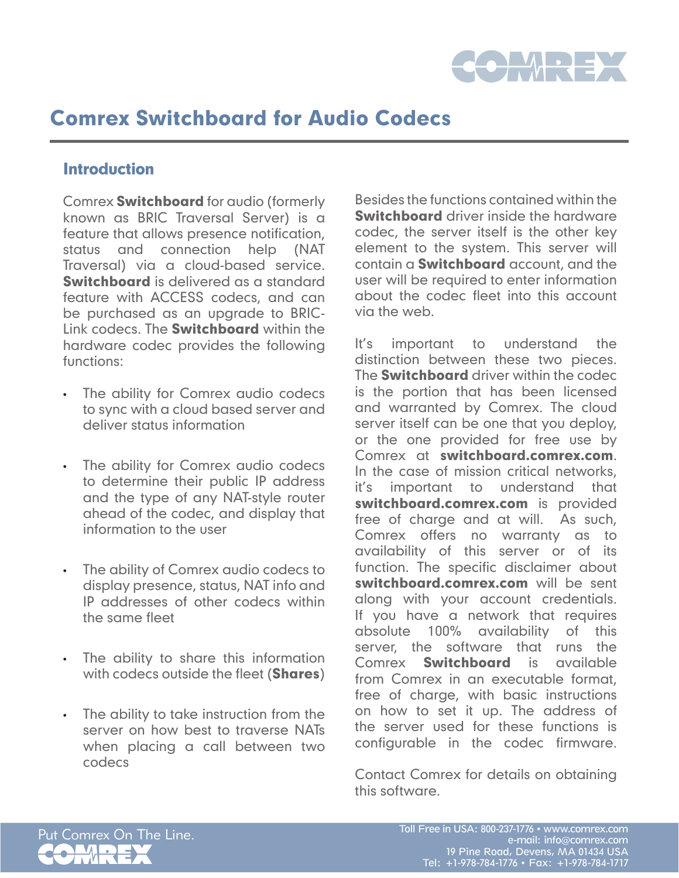

### **Introduction**

Comrex Switchboard for audio (formerly known as BRIC Traversal Server) is a feature that allows presence notification, status and connection help (NAT Traversal) via a cloud-based service. Switchboard is delivered as a standard feature with ACCESS codecs, and can be purchased as an upgrade to BRIC-Link codecs. The **Switchboard** within the hardware codec provides the following functions:

- • The ability for Comrex audio codecs to sync with a cloud based server and deliver status information
- The ability for Comrex audio codecs to determine their public IP address and the type of any NAT-style router ahead of the codec, and display that information to the user
- • The ability of Comrex audio codecs to display presence, status, NAT info and IP addresses of other codecs within the same fleet
- • The ability to share this information with codecs outside the fleet (**Shares**)
- The ability to take instruction from the server on how best to traverse NATs when placing a call between two codecs

Besides the functions contained within the **Switchboard** driver inside the hardware codec, the server itself is the other key element to the system. This server will contain a **Switchboard** account, and the user will be required to enter information about the codec fleet into this account via the web.

It's important to understand the distinction between these two pieces. The **Switchboard** driver within the codec is the portion that has been licensed and warranted by Comrex. The cloud server itself can be one that you deploy, or the one provided for free use by Comrex at switchboard.comrex.com. In the case of mission critical networks, it's important to understand that switchboard.comrex.com is provided free of charge and at will. As such, Comrex offers no warranty as to availability of this server or of its function. The specific disclaimer about switchboard.comrex.com will be sent along with your account credentials. If you have a network that requires absolute 100% availability of this server, the software that runs the Comrex **Switchboard** is available from Comrex in an executable format, free of charge, with basic instructions on how to set it up. The address of the server used for these functions is configurable in the codec firmware.

Contact Comrex for details on obtaining this software.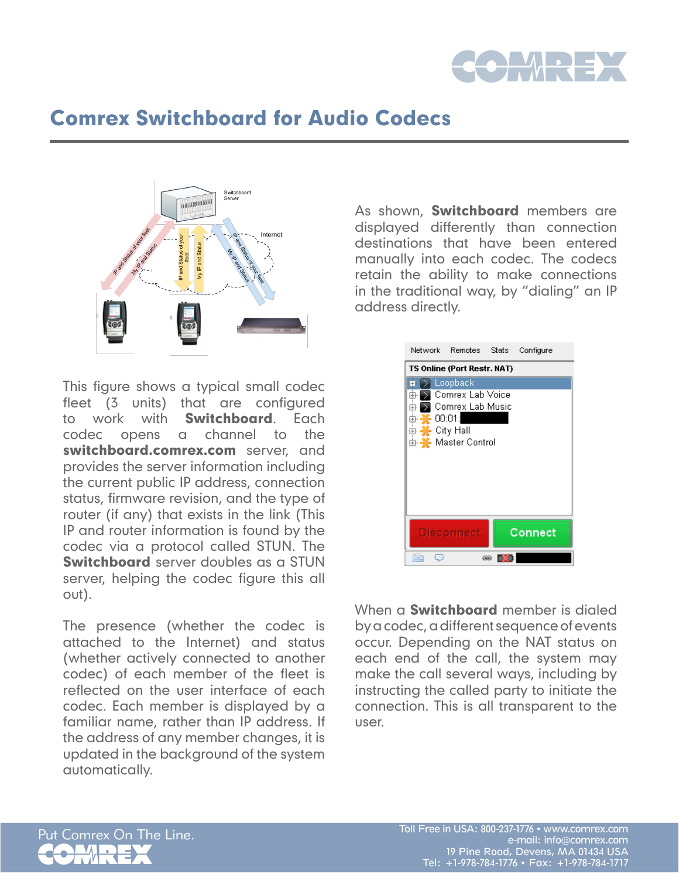



This figure shows a typical small codec fleet (3 units) that are configured to work with **Switchboard**. Fach codec opens a channel to the switchboard.comrex.com server, and provides the server information including the current public IP address, connection status, firmware revision, and the type of router (if any) that exists in the link (This IP and router information is found by the codec via a protocol called STUN. The Switchboard server doubles as a STUN server, helping the codec figure this all out).

The presence (whether the codec is attached to the Internet) and status (whether actively connected to another codec) of each member of the fleet is reflected on the user interface of each codec. Each member is displayed by a familiar name, rather than IP address. If the address of any member changes, it is updated in the background of the system automatically.

As shown, **Switchboard** members are displayed differently than connection destinations that have been entered manually into each codec. The codecs retain the ability to make connections in the traditional way, by "dialing" an IP address directly.

|    | Network Remotes Stats Configure                                                           |      |         |  |
|----|-------------------------------------------------------------------------------------------|------|---------|--|
|    | <b>TS Online (Port Restr. NAT)</b>                                                        |      |         |  |
| 噜! | Loopback<br>Comrex Lab Voice<br>Comrex Lab Music<br>00:01:<br>City Hall<br>Master Control |      |         |  |
|    | <b>Disconnect</b>                                                                         |      | Connect |  |
|    |                                                                                           | (12) |         |  |

When a **Switchboard** member is dialed by a codec, a different sequence of events occur. Depending on the NAT status on each end of the call, the system may make the call several ways, including by instructing the called party to initiate the connection. This is all transparent to the user.

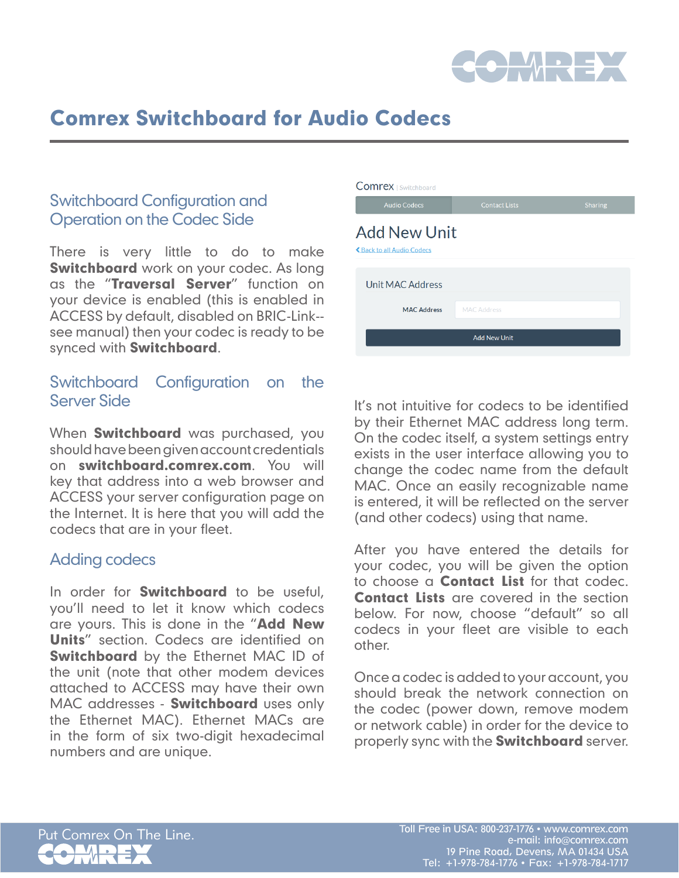

## Switchboard Configuration and Operation on the Codec Side

There is very little to do to make **Switchboard** work on your codec. As long as the "Traversal Server" function on your device is enabled (this is enabled in ACCESS by default, disabled on BRIC-Link- see manual) then your codec is ready to be synced with Switchboard.

## Switchboard Configuration on the Server Side

When **Switchboard** was purchased, you should have been given account credentials on switchboard.comrex.com. You will key that address into a web browser and ACCESS your server configuration page on the Internet. It is here that you will add the codecs that are in your fleet.

### Adding codecs

In order for **Switchboard** to be useful, you'll need to let it know which codecs are yours. This is done in the "**Add New** Units" section. Codecs are identified on Switchboard by the Ethernet MAC ID of the unit (note that other modem devices attached to ACCESS may have their own MAC addresses - Switchboard uses only the Ethernet MAC). Ethernet MACs are in the form of six two-digit hexadecimal numbers and are unique.

| <b>COMFEX</b>   Switchboard                             |                      |                |
|---------------------------------------------------------|----------------------|----------------|
| <b>Audio Codecs</b>                                     | <b>Contact Lists</b> | <b>Sharing</b> |
| <b>Add New Unit</b><br><b>くBack to all Audio Codecs</b> |                      |                |
| <b>Unit MAC Address</b>                                 |                      |                |
| <b>MAC Address</b>                                      | <b>MAC Address</b>   |                |
| <b>Add New Unit</b>                                     |                      |                |

It's not intuitive for codecs to be identified by their Ethernet MAC address long term. On the codec itself, a system settings entry exists in the user interface allowing you to change the codec name from the default MAC. Once an easily recognizable name is entered, it will be reflected on the server (and other codecs) using that name.

After you have entered the details for your codec, you will be given the option to choose a Contact List for that codec. Contact Lists are covered in the section below. For now, choose "default" so all codecs in your fleet are visible to each other.

Once a codec is added to your account, you should break the network connection on the codec (power down, remove modem or network cable) in order for the device to properly sync with the **Switchboard** server.

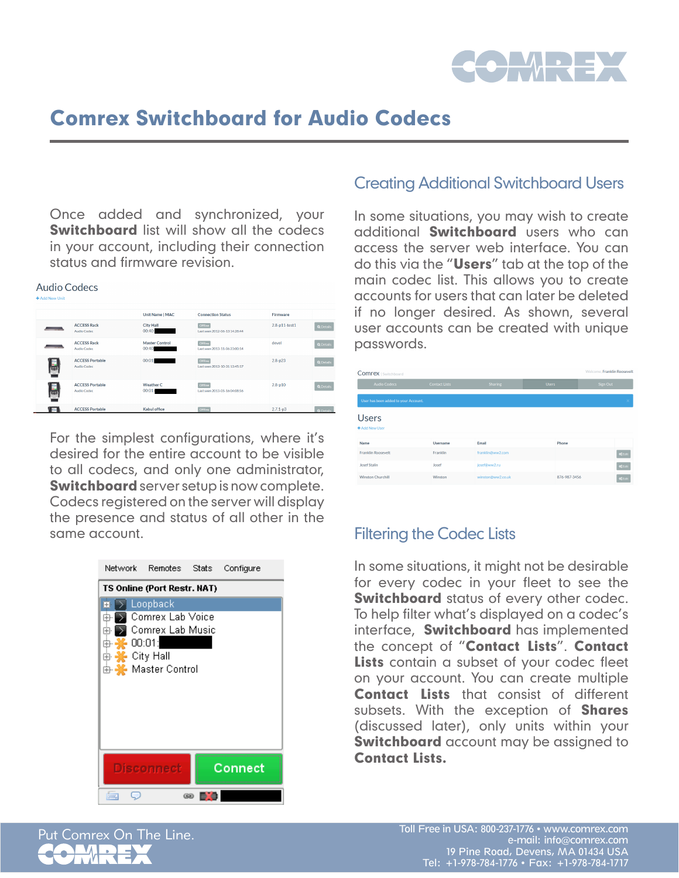

Once added and synchronized, your **Switchboard** list will show all the codecs in your account, including their connection status and firmware revision.

#### **Audio Codecs**

|             |                                       | <b>Unit Name   MAC</b>         | <b>Connection Status</b>                        | Firmware        |                  |
|-------------|---------------------------------------|--------------------------------|-------------------------------------------------|-----------------|------------------|
|             | <b>ACCESS Rack</b><br>Audio Codec     | <b>City Hall</b><br>00:40:     | Offline<br>Last seen 2012-06-13 14:28:44        | $2.8-p11-test1$ | <b>Q</b> Details |
|             | <b>ACCESS Rack</b><br>Audio Codec     | <b>Master Control</b><br>00:40 | Offline<br>Last seen 2013-11-06 23:00:14        | devel           | Q Details        |
| E           | <b>ACCESS Portable</b><br>Audio Codec | 00:01:                         | Offline<br>Last seen 2013-10-31 13:45:17        | $2.8 - p23$     | Q Details        |
| E           | <b>ACCESS Portable</b><br>Audio Codec | Weather C<br>00:01:            | <b>Offline</b><br>Last seen 2013-05-16 04:08:56 | $2.8 - p10$     | Q Details        |
| <b>VIII</b> | <b>ACCESS Portable</b>                | <b>Kabul office</b>            | Offline                                         | $2.7.1 - p3$    | <b>O</b> Details |

For the simplest configurations, where it's desired for the entire account to be visible to all codecs, and only one administrator, **Switchboard** server setup is now complete. Codecs registered on the server will display the presence and status of all other in the same account.



### Creating Additional Switchboard Users

In some situations, you may wish to create additional **Switchboard** users who can access the server web interface. You can do this via the "Users" tab at the top of the main codec list. This allows you to create accounts for users that can later be deleted if no longer desired. As shown, several user accounts can be created with unique passwords.

| Welcome. Franklin Roosevelt<br><b>Comrex</b>   Switchboard |                      |                   |              |                |
|------------------------------------------------------------|----------------------|-------------------|--------------|----------------|
| Audio Codecs                                               | <b>Contact Lists</b> | <b>Sharing</b>    | Users:       | Sign Out       |
| User has been added to your Account.                       |                      |                   |              |                |
| <b>Users</b><br>+ Add New User                             |                      |                   |              |                |
| Name                                                       | <b>Username</b>      | Email             | Phone        |                |
| <b>Franklin Roosevelt</b>                                  | Franklin             | franklin@ww2.com  |              | of Edit        |
| <b>Josef Stalin</b>                                        | Josef                | josef@ww2.ru      |              | of Edit        |
| <b>Winston Churchill</b>                                   | Winston              | winston@ww2.co.uk | 876-987-3456 | <b>o</b> CEdit |

### Filtering the Codec Lists

In some situations, it might not be desirable for every codec in your fleet to see the **Switchboard** status of every other codec. To help filter what's displayed on a codec's interface, **Switchboard** has implemented the concept of "Contact Lists". Contact Lists contain a subset of your codec fleet on your account. You can create multiple **Contact Lists** that consist of different subsets. With the exception of **Shares** (discussed later), only units within your **Switchboard** account may be assigned to Contact Lists.

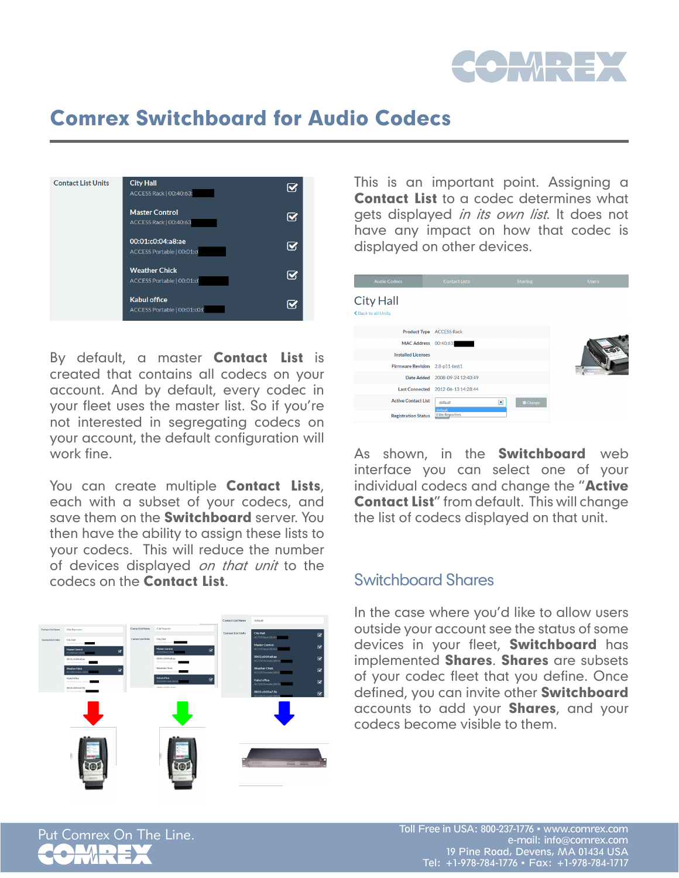

| <b>Contact List Units</b> | <b>City Hall</b><br>ACCESS Rack   00:40:63:         | M                       |
|---------------------------|-----------------------------------------------------|-------------------------|
|                           | <b>Master Control</b><br>ACCESS Rack   00:40:63     | M                       |
|                           | 00:01:c0:04:a8:ae<br>ACCESS Portable   00:01:cl     | $\overline{\mathbf{v}}$ |
|                           | <b>Weather Chick</b><br>ACCESS Portable   00:01:cl  | M                       |
|                           | <b>Kabul office</b><br>ACCESS Portable   00:01:c0:0 | M                       |

By default, a master **Contact List** is created that contains all codecs on your account. And by default, every codec in your fleet uses the master list. So if you're not interested in segregating codecs on your account, the default configuration will work fine.

You can create multiple **Contact Lists**, each with a subset of your codecs, and save them on the **Switchboard** server. You then have the ability to assign these lists to your codecs. This will reduce the number of devices displayed on that unit to the codecs on the Contact List.



This is an important point. Assigning a **Contact List** to a codec determines what gets displayed *in its own list*. It does not have any impact on how that codec is displayed on other devices.



As shown, in the **Switchboard** web interface you can select one of your individual codecs and change the "**Active** Contact List" from default. This will change the list of codecs displayed on that unit.

### Switchboard Shares

In the case where you'd like to allow users outside your account see the status of some devices in your fleet, **Switchboard** has implemented **Shares**. **Shares** are subsets of your codec fleet that you define. Once defined, you can invite other **Switchboard** accounts to add your **Shares**, and your codecs become visible to them.